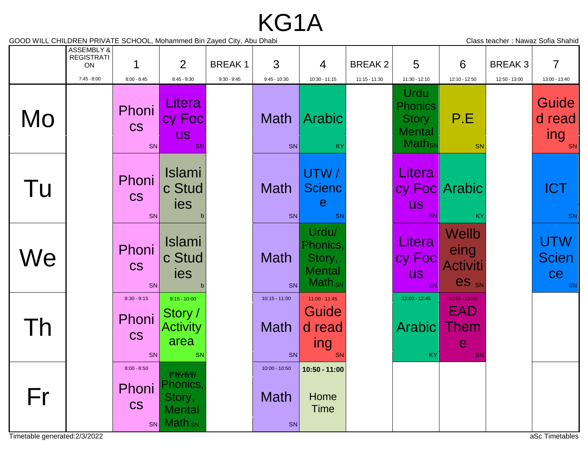## KG1A

GOOD WILL CHILDREN PRIVATE SCHOOL, Mohammed Bin Zayed City, Abu Dhabi Class teacher : Nawaz Sofia Shahid

|                                     | ASSEMBLY &<br><b>REGISTRATI</b><br>ON |                                           | 2                                                                             | <b>BREAK1</b> | 3                                    | 4                                                           | <b>BREAK2</b> | 5                                                                                                     | 6                                         | <b>BREAK3</b> | $\overline{7}$                                       |
|-------------------------------------|---------------------------------------|-------------------------------------------|-------------------------------------------------------------------------------|---------------|--------------------------------------|-------------------------------------------------------------|---------------|-------------------------------------------------------------------------------------------------------|-------------------------------------------|---------------|------------------------------------------------------|
| Mo                                  | $7:45 - 8:00$                         | $8:00 - 8:45$<br>Phoni<br><b>CS</b><br>SN | $8:45 - 9:30$<br>Litera<br>cy Foc<br><b>US</b><br><b>SN</b>                   | $9:30 - 9:45$ | $9:45 - 10:30$<br><b>Math</b><br>SN  | 10:30 - 11:15<br>Arabic<br>KY                               | 11:15 - 11:30 | 11:30 - 12:10<br>Urdu<br><b>Phonics</b><br><b>Story</b><br><b>Mental</b><br><b>Math</b> <sub>SN</sub> | 12:10 - 12:50<br>P.E<br>SN                | 12:50 - 13:00 | 13:00 - 13:40<br>Guide<br>d read<br><b>ing</b><br>SN |
| Tu                                  |                                       | Phoni<br><b>CS</b><br>SN                  | <b>Islami</b><br>c Stud<br>ies                                                |               | <b>Math</b><br>SN                    | UTW/<br><b>Scienc</b><br>е<br>SN                            |               | Litera<br><b>US</b><br><b>SN</b>                                                                      | cy Foc Arabic<br>KY                       |               | <b>ICT</b><br>SN                                     |
| We                                  |                                       | Phoni<br><b>CS</b><br>SN                  | <b>Islami</b><br>c Stud<br>ies                                                |               | <b>Math</b><br>SN                    | Urdu/<br>Phonics,<br>Story,<br><b>Mental</b><br>$Math_{SN}$ |               | Litera<br>cy Foc<br><b>US</b><br>SN                                                                   | Wellb<br>eing<br>Activiti<br><b>es</b> SN |               | UTW<br><b>Scien</b><br>ce<br>SN                      |
| $\overline{D}$                      |                                       | $8:30 - 9:15$<br>Phoni<br><b>CS</b><br>SN | $9:15 - 10:00$<br>Story /<br><b>Activity</b><br>area<br>SN                    |               | $10:15 - 11:00$<br><b>Math</b><br>SN | $11:00 - 11:45$<br>Guide<br>d read<br>ing<br>SN             |               | $12:00 - 12:45$<br>Arabic<br>KY                                                                       | $12:45 - 13:40$<br>EAD<br>Them<br>e<br>SN |               |                                                      |
| Fr<br>Timetable generated: 2/3/2022 |                                       | $8:00 - 8:50$<br>Phoni<br><b>CS</b><br>SN | $18.59$ $H^{49}$<br>Phonics,<br>Story,<br><b>Mental</b><br>Math <sub>sN</sub> |               | 10:00 - 10:50<br><b>Math</b><br>SN   | 10:50 - 11:00<br>Home<br><b>Time</b>                        |               |                                                                                                       |                                           |               | aSc Timetables                                       |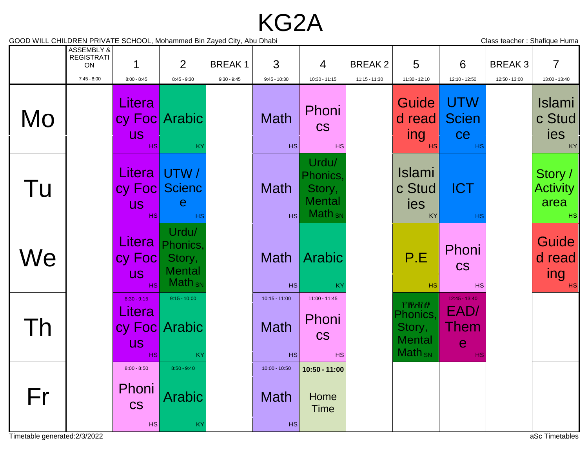KG2A

GOOD WILL CHILDREN PRIVATE SCHOOL, Mohammed Bin Zayed City, Abu Dhabi Contract Channel Class teacher : Shafique Huma

|                                     | ASSEMBLY &<br><b>REGISTRATI</b><br>ON<br>$7:45 - 8:00$ | 1<br>$8:00 - 8:45$                                | 2<br>$8:45 - 9:30$                                          | <b>BREAK1</b><br>$9:30 - 9:45$ | 3<br>$9:45 - 10:30$                         | $\overline{4}$<br>10:30 - 11:15                                    | <b>BREAK2</b><br>11:15 - 11:30 | 5<br>11:30 - 12:10                                                | 6<br>12:10 - 12:50                                   | <b>BREAK3</b><br>12:50 - 13:00 | $\overline{7}$<br>13:00 - 13:40          |
|-------------------------------------|--------------------------------------------------------|---------------------------------------------------|-------------------------------------------------------------|--------------------------------|---------------------------------------------|--------------------------------------------------------------------|--------------------------------|-------------------------------------------------------------------|------------------------------------------------------|--------------------------------|------------------------------------------|
| Mo                                  |                                                        | Litera<br><b>US</b><br><b>HS</b>                  | cy Foc Arabic<br>KY                                         |                                | <b>Math</b><br><b>HS</b>                    | Phoni<br><b>CS</b><br>HS                                           |                                | Guide<br>d read<br>ing<br><b>HS</b>                               | UTW<br><b>Scien</b><br>ce<br>HS                      |                                | <b>Islami</b><br>c Stud<br>ies<br>KY     |
| Tu                                  |                                                        | <b>US</b><br>HS                                   | Litera UTW /<br>cy Foc Scienc<br>e<br>HS                    |                                | <b>Math</b><br><b>HS</b>                    | Urdu/<br>Phonics,<br>Story,<br><b>Mental</b><br>Math <sub>sN</sub> |                                | <b>Islami</b><br>c Stud<br>ies<br>KY                              | <b>ICT</b><br><b>HS</b>                              |                                | Story /<br><b>Activity</b><br>area<br>HS |
| We                                  |                                                        | Litera<br>cy Foc<br><b>US</b><br><b>HS</b>        | Urdu/<br>Phonics,<br>Story,<br><b>Mental</b><br>$Math_{SN}$ |                                | <b>Math</b><br>HS                           | Arabic<br><b>KY</b>                                                |                                | P.E<br><b>HS</b>                                                  | Phoni<br><b>CS</b><br><b>HS</b>                      |                                | Guide<br>d read<br>ing<br>HS             |
| l h                                 |                                                        | $8:30 - 9:15$<br>Litera<br><b>US</b><br><b>HS</b> | $9:15 - 10:00$<br>cy Foc Arabic<br>KY                       |                                | $10:15 - 11:00$<br><b>Math</b><br><b>HS</b> | 11:00 - 11:45<br>Phoni<br><b>CS</b><br>HS                          |                                | $12$ Proder<br>Phonics,<br>Story,<br><b>Mental</b><br>$Math_{SN}$ | $12:45 - 13:40$<br>EAD/<br>Them<br>$\mathbf e$<br>HS |                                |                                          |
| Fr<br>Timetable generated: 2/3/2022 |                                                        | $8:00 - 8:50$<br>Phoni<br><b>CS</b><br>HS         | $8:50 - 9:40$<br><b>Arabic</b><br>KY                        |                                | $10:00 - 10:50$<br>Math<br><b>HS</b>        | 10:50 - 11:00<br>Home<br><b>Time</b>                               |                                |                                                                   |                                                      |                                | aSc Timetables                           |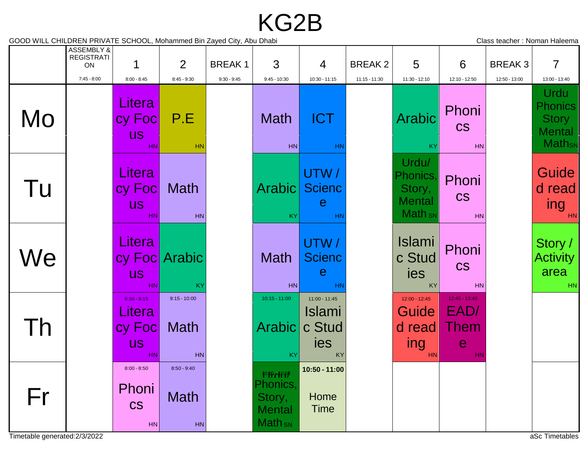## KG2B

GOOD WILL CHILDREN PRIVATE SCHOOL, Mohammed Bin Zayed City, Abu Dhabi Class teacher : Noman Haleema

|    | ASSEMBLY &<br><b>REGISTRATI</b><br>ON |                                                       | 2                                         | <b>BREAK1</b> | 3                                                                            | 4                                                       | <b>BREAK2</b>   | 5                                                                  | 6                                                    | <b>BREAK3</b> | $\overline{7}$                                                                                        |
|----|---------------------------------------|-------------------------------------------------------|-------------------------------------------|---------------|------------------------------------------------------------------------------|---------------------------------------------------------|-----------------|--------------------------------------------------------------------|------------------------------------------------------|---------------|-------------------------------------------------------------------------------------------------------|
| Mo | $7:45 - 8:00$                         | $8:00 - 8:45$<br>Litera<br>cy Foc<br><b>US</b><br>HN. | $8:45 - 9:30$<br>P.E<br><b>HN</b>         | $9:30 - 9:45$ | $9:45 - 10:30$<br><b>Math</b><br>HN                                          | 10:30 - 11:15<br><b>ICT</b><br><b>HN</b>                | $11:15 - 11:30$ | 11:30 - 12:10<br><b>Arabic</b><br>KY                               | 12:10 - 12:50<br>Phoni<br><b>CS</b><br>HN            | 12:50 - 13:00 | 13:00 - 13:40<br>Urdu<br><b>Phonics</b><br><b>Story</b><br><b>Mental</b><br><b>Math</b> <sub>sN</sub> |
| Tu |                                       | Litera<br>cy Foc<br><b>US</b><br>HN.                  | <b>Math</b><br><b>HN</b>                  |               | Arabic<br>KY.                                                                | UTW/<br><b>Scienc</b><br>$\mathbf e$<br>HN              |                 | Urdu/<br>Phonics,<br>Story,<br><b>Mental</b><br>Math <sub>sN</sub> | Phoni<br><b>CS</b><br>HN                             |               | Guide<br>d read<br>ing<br>HN                                                                          |
| We |                                       | <b>Litera</b><br><b>US</b><br>HN.                     | cy Foc Arabic<br>KY                       |               | <b>Math</b><br>HN <sup>I</sup>                                               | UTW/<br><b>Scienc</b><br>$\mathbf e$<br><b>HN</b>       |                 | <b>Islami</b><br>c Stud<br>ies<br>KY                               | Phoni<br><b>CS</b><br>HN                             |               | Story /<br><b>Activity</b><br>area<br>HN                                                              |
| Th |                                       | $8:30 - 9:15$<br>Litera<br>cy Foc<br><b>US</b><br>HN  | $9:15 - 10:00$<br>Math<br><b>HN</b>       |               | $10:15 - 11:00$<br>Arabic<br>KY                                              | $11:00 - 11:45$<br><b>Islami</b><br>c Stud<br>ies<br>KY |                 | $12:00 - 12:45$<br>Guide<br>d read<br>ing<br><b>HN</b>             | $12:45 - 13:40$<br>EAD/<br>Them<br>$\mathbf e$<br>HN |               |                                                                                                       |
| Fr |                                       | $8:00 - 8:50$<br>Phoni<br><b>CS</b><br>HN             | $8:50 - 9:40$<br><b>Math</b><br><b>HN</b> |               | $10:PP$ $AP:PP$<br>Phonics,<br>Story,<br><b>Mental</b><br>Math <sub>sN</sub> | 10:50 - 11:00<br>Home<br>Time                           |                 |                                                                    |                                                      |               |                                                                                                       |

Timetable generated:2/3/2022 aSc Timetables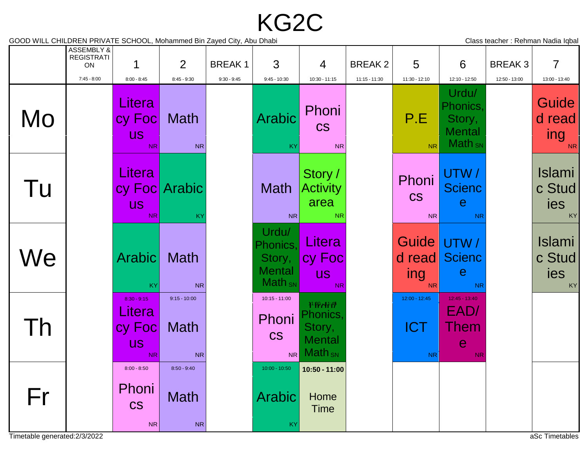## KG2C

GOOD WILL CHILDREN PRIVATE SCHOOL, Mohammed Bin Zayed City, Abu Dhabi Chang Channel Class teacher : Rehman Nadia Iqbal

|    | ASSEMBLY &<br><b>REGISTRATI</b><br>ON |                                                             | 2                                              | <b>BREAK1</b> | 3                                                           | $\overline{4}$                                                                              | <b>BREAK2</b> | 5                                        | 6                                                                            | <b>BREAK3</b> | $\overline{7}$                                       |
|----|---------------------------------------|-------------------------------------------------------------|------------------------------------------------|---------------|-------------------------------------------------------------|---------------------------------------------------------------------------------------------|---------------|------------------------------------------|------------------------------------------------------------------------------|---------------|------------------------------------------------------|
| Mo | $7:45 - 8:00$                         | $8:00 - 8:45$<br>Litera<br>cy Foc<br><b>US</b><br><b>NR</b> | $8:45 - 9:30$<br>Math<br><b>NR</b>             | $9:30 - 9:45$ | $9:45 - 10:30$<br><b>Arabic</b><br>KY                       | 10:30 - 11:15<br>Phoni<br><b>CS</b><br><b>NR</b>                                            | 11:15 - 11:30 | $11:30 - 12:10$<br>P.E<br><b>NR</b>      | 12:10 - 12:50<br>Urdu/<br>Phonics.<br>Story,<br><b>Mental</b><br>$Math_{SN}$ | 12:50 - 13:00 | 13:00 - 13:40<br>Guide<br>d read<br>ing<br><b>NR</b> |
| Tu |                                       | Litera<br><b>US</b><br>N <sub>R</sub>                       | cy Foc Arabic<br>KY                            |               | Math<br><b>NR</b>                                           | Story /<br><b>Activity</b><br>area<br><b>NR</b>                                             |               | Phoni<br><b>CS</b><br>N <sub>R</sub>     | UTW/<br><b>Scienc</b><br>$\mathbf e$<br><b>NR</b>                            |               | <b>Islami</b><br>c Stud<br>ies<br>KY                 |
| We |                                       | <b>Arabic</b><br><b>KY</b>                                  | <b>Math</b><br><b>NR</b>                       |               | Urdu/<br>Phonics.<br>Story,<br><b>Mental</b><br>$Math_{SN}$ | Litera<br>cy Foc<br><b>US</b><br><b>NR</b>                                                  |               | d read<br>ing<br><b>NR</b>               | Guide UTW /<br><b>Scienc</b><br>$\mathbf e$<br><b>NR</b>                     |               | <b>Islami</b><br>c Stud<br>ies<br>KY                 |
| Th |                                       | $8:30 - 9:15$<br>Litera<br>cy Foc<br><b>US</b><br>NR.       | $9:15 - 10:00$<br>Math<br><b>NR</b>            |               | $10:15 - 11:00$<br>Phoni<br><b>CS</b><br><b>NR</b>          | $11$ :PP $\mathcal{H}1$ $\mathcal{H}$<br>Phonics,<br>Story,<br><b>Mental</b><br>$Math_{SN}$ |               | 12:00 - 12:45<br><b>ICT</b><br><b>NR</b> | $12:45 - 13:40$<br>EAD/<br>Them<br>e<br><b>NR</b>                            |               |                                                      |
| Fr |                                       | $8:00 - 8:50$<br>Phoni<br><b>CS</b><br><b>NR</b>            | $8:50 - 9:40$<br><b>Math</b><br>N <sub>R</sub> |               | 10:00 - 10:50<br><b>Arabic</b><br>KY                        | 10:50 - 11:00<br>Home<br><b>Time</b>                                                        |               |                                          |                                                                              |               |                                                      |

Timetable generated:2/3/2022 and the control of the control of the control of the control of the control of the control of the control of the control of the control of the control of the control of the control of the contr